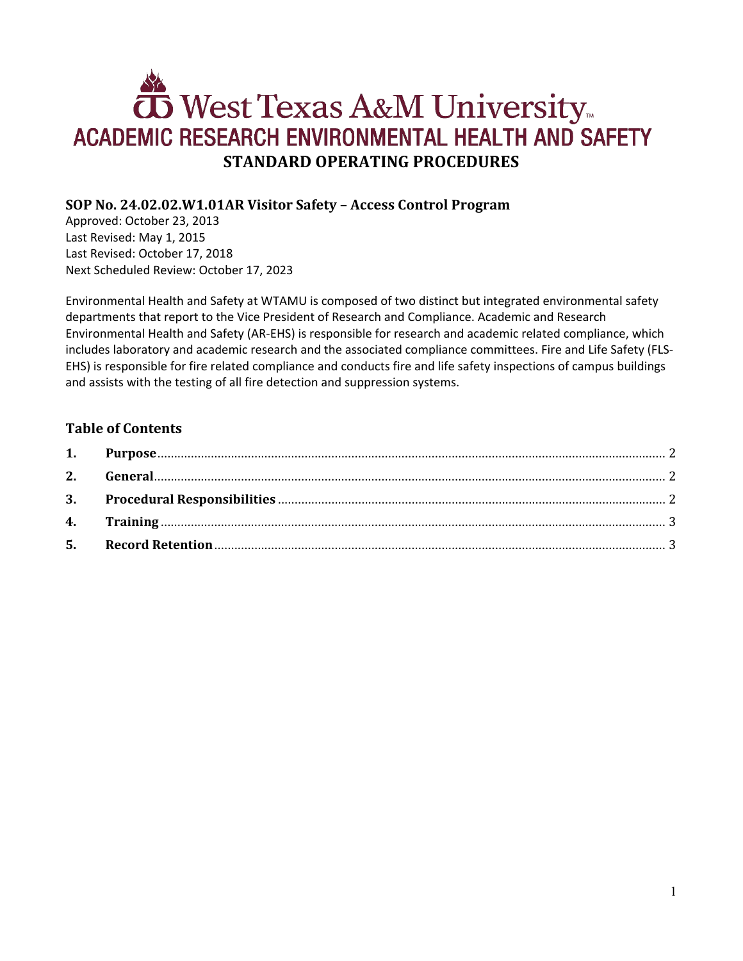# West Texas A&M University ACADEMIC RESEARCH ENVIRONMENTAL HEALTH AND SAFETY **STANDARD OPERATING PROCEDURES**

## **SOP No. 24.02.02.W1.01AR Visitor Safety – Access Control Program**

Approved: October 23, 2013 Last Revised: May 1, 2015 Last Revised: October 17, 2018 Next Scheduled Review: October 17, 2023

Environmental Health and Safety at WTAMU is composed of two distinct but integrated environmental safety departments that report to the Vice President of Research and Compliance. Academic and Research Environmental Health and Safety (AR-EHS) is responsible for research and academic related compliance, which includes laboratory and academic research and the associated compliance committees. Fire and Life Safety (FLS-EHS) is responsible for fire related compliance and conducts fire and life safety inspections of campus buildings and assists with the testing of all fire detection and suppression systems.

#### **Table of Contents**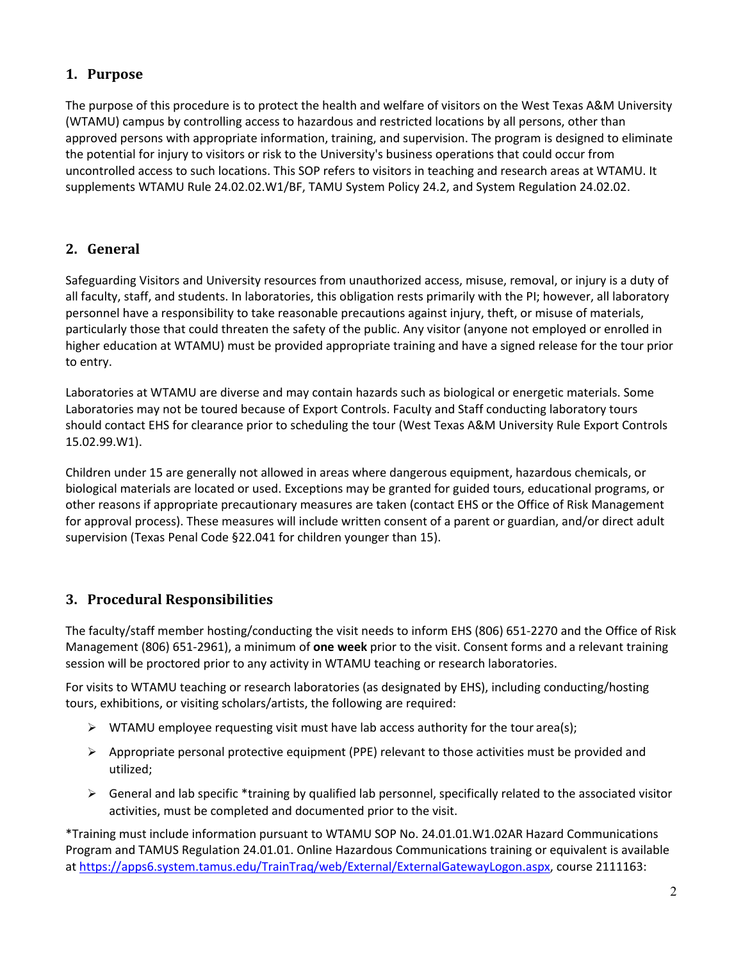## <span id="page-1-0"></span>**1. Purpose**

The purpose of this procedure is to protect the health and welfare of visitors on the West Texas A&M University (WTAMU) campus by controlling access to hazardous and restricted locations by all persons, other than approved persons with appropriate information, training, and supervision. The program is designed to eliminate the potential for injury to visitors or risk to the University's business operations that could occur from uncontrolled access to such locations. This SOP refers to visitors in teaching and research areas at WTAMU. It supplements WTAMU Rule 24.02.02.W1/BF, TAMU System Policy 24.2, and System Regulation 24.02.02.

#### <span id="page-1-1"></span>**2. General**

Safeguarding Visitors and University resources from unauthorized access, misuse, removal, or injury is a duty of all faculty, staff, and students. In laboratories, this obligation rests primarily with the PI; however, all laboratory personnel have a responsibility to take reasonable precautions against injury, theft, or misuse of materials, particularly those that could threaten the safety of the public. Any visitor (anyone not employed or enrolled in higher education at WTAMU) must be provided appropriate training and have a signed release for the tour prior to entry.

Laboratories at WTAMU are diverse and may contain hazards such as biological or energetic materials. Some Laboratories may not be toured because of Export Controls. Faculty and Staff conducting laboratory tours should contact EHS for clearance prior to scheduling the tour (West Texas A&M University Rule Export Controls 15.02.99.W1).

Children under 15 are generally not allowed in areas where dangerous equipment, hazardous chemicals, or biological materials are located or used. Exceptions may be granted for guided tours, educational programs, or other reasons if appropriate precautionary measures are taken (contact EHS or the Office of Risk Management for approval process). These measures will include written consent of a parent or guardian, and/or direct adult supervision (Texas Penal Code §22.041 for children younger than 15).

## <span id="page-1-2"></span>**3. Procedural Responsibilities**

The faculty/staff member hosting/conducting the visit needs to inform EHS (806) 651-2270 and the Office of Risk Management (806) 651-2961), a minimum of **one week** prior to the visit. Consent forms and a relevant training session will be proctored prior to any activity in WTAMU teaching or research laboratories.

For visits to WTAMU teaching or research laboratories (as designated by EHS), including conducting/hosting tours, exhibitions, or visiting scholars/artists, the following are required:

- $\triangleright$  WTAMU employee requesting visit must have lab access authority for the tour area(s);
- $\triangleright$  Appropriate personal protective equipment (PPE) relevant to those activities must be provided and utilized;
- $\triangleright$  General and lab specific \*training by qualified lab personnel, specifically related to the associated visitor activities, must be completed and documented prior to the visit.

\*Training must include information pursuant to WTAMU SOP No. 24.01.01.W1.02AR Hazard Communications Program and TAMUS Regulation 24.01.01. Online Hazardous Communications training or equivalent is available at [https://apps6.system.tamus.edu/TrainTraq/web/External/ExternalGatewayLogon.aspx, c](https://apps6.system.tamus.edu/TrainTraq/web/External/ExternalGatewayLogon.aspx)ourse 2111163: